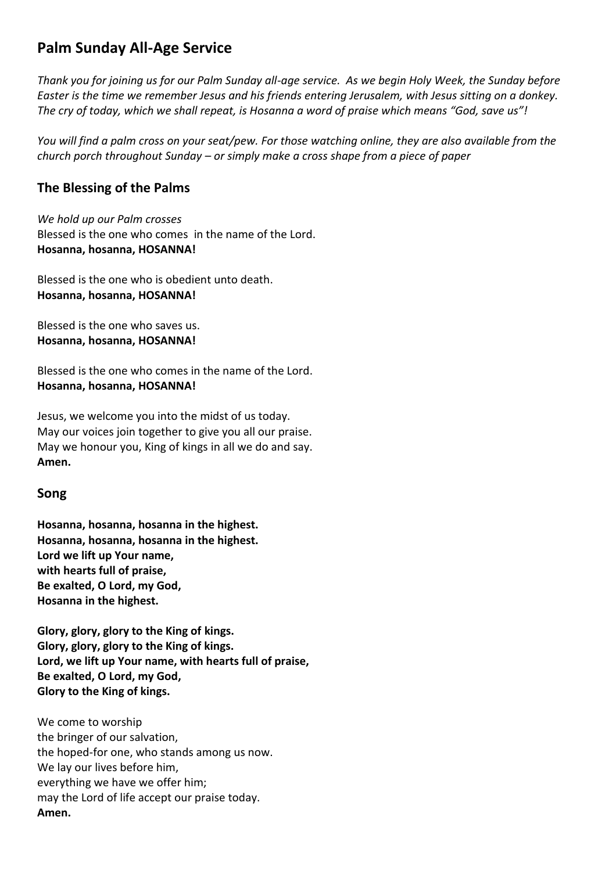# **Palm Sunday All-Age Service**

*Thank you for joining us for our Palm Sunday all-age service. As we begin Holy Week, the Sunday before Easter is the time we remember Jesus and his friends entering Jerusalem, with Jesus sitting on a donkey. The cry of today, which we shall repeat, is Hosanna a word of praise which means "God, save us"!*

*You will find a palm cross on your seat/pew. For those watching online, they are also available from the church porch throughout Sunday – or simply make a cross shape from a piece of paper*

## **The Blessing of the Palms**

*We hold up our Palm crosses* Blessed is the one who comes in the name of the Lord. **Hosanna, hosanna, HOSANNA!**

Blessed is the one who is obedient unto death. **Hosanna, hosanna, HOSANNA!**

Blessed is the one who saves us. **Hosanna, hosanna, HOSANNA!**

Blessed is the one who comes in the name of the Lord. **Hosanna, hosanna, HOSANNA!**

Jesus, we welcome you into the midst of us today. May our voices join together to give you all our praise. May we honour you, King of kings in all we do and say. **Amen.**

#### **Song**

**Hosanna, hosanna, hosanna in the highest. Hosanna, hosanna, hosanna in the highest. Lord we lift up Your name, with hearts full of praise, Be exalted, O Lord, my God, Hosanna in the highest.**

**Glory, glory, glory to the King of kings. Glory, glory, glory to the King of kings. Lord, we lift up Your name, with hearts full of praise, Be exalted, O Lord, my God, Glory to the King of kings.**

We come to worship the bringer of our salvation, the hoped-for one, who stands among us now. We lay our lives before him, everything we have we offer him; may the Lord of life accept our praise today. **Amen.**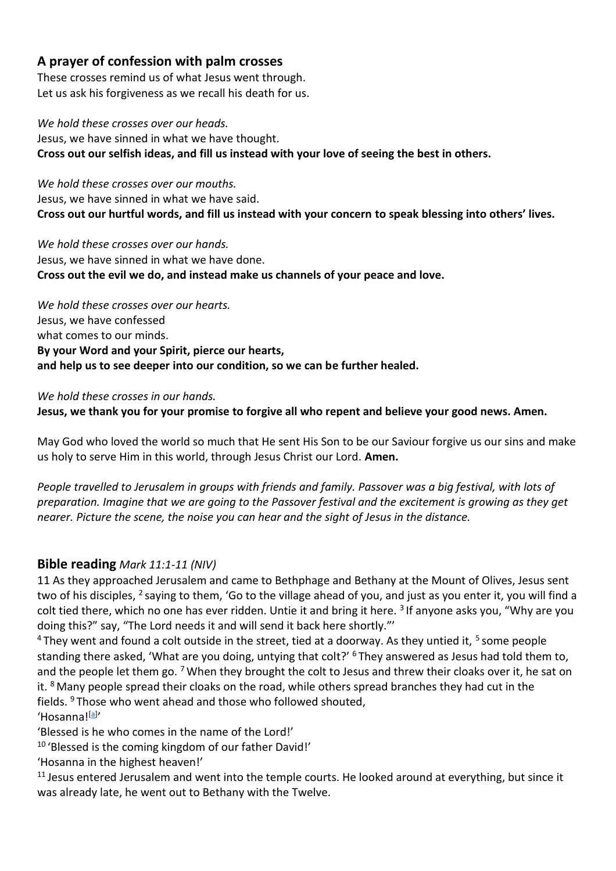## **A prayer of confession with palm crosses**

These crosses remind us of what Jesus went through. Let us ask his forgiveness as we recall his death for us.

*We hold these crosses over our heads.* Jesus, we have sinned in what we have thought. **Cross out our selfish ideas, and fill us instead with your love of seeing the best in others.**

*We hold these crosses over our mouths.* Jesus, we have sinned in what we have said. **Cross out our hurtful words, and fill us instead with your concern to speak blessing into others' lives.**

*We hold these crosses over our hands.* Jesus, we have sinned in what we have done. **Cross out the evil we do, and instead make us channels of your peace and love.**

*We hold these crosses over our hearts.* Jesus, we have confessed what comes to our minds. **By your Word and your Spirit, pierce our hearts, and help us to see deeper into our condition, so we can be further healed.**

*We hold these crosses in our hands.* **Jesus, we thank you for your promise to forgive all who repent and believe your good news. Amen.**

May God who loved the world so much that He sent His Son to be our Saviour forgive us our sins and make us holy to serve Him in this world, through Jesus Christ our Lord. **Amen.**

*People travelled to Jerusalem in groups with friends and family. Passover was a big festival, with lots of preparation. Imagine that we are going to the Passover festival and the excitement is growing as they get nearer. Picture the scene, the noise you can hear and the sight of Jesus in the distance.* 

#### **Bible reading** *Mark 11:1-11 (NIV)*

11 As they approached Jerusalem and came to Bethphage and Bethany at the Mount of Olives, Jesus sent two of his disciples, <sup>2</sup> saying to them, 'Go to the village ahead of you, and just as you enter it, you will find a colt tied there, which no one has ever ridden. Untie it and bring it here. <sup>3</sup> If anyone asks you, "Why are you doing this?" say, "The Lord needs it and will send it back here shortly."'

 $^4$ They went and found a colt outside in the street, tied at a doorway. As they untied it,  $^5$  some people standing there asked, 'What are you doing, untying that colt?' <sup>6</sup> They answered as Jesus had told them to, and the people let them go. <sup>7</sup> When they brought the colt to Jesus and threw their cloaks over it, he sat on it. <sup>8</sup> Many people spread their cloaks on the road, while others spread branches they had cut in the fields. <sup>9</sup> Those who went ahead and those who followed shouted, 'Hosanna!<sup>[\[a\]](https://www.biblegateway.com/passage/?search=mark+11%3A1-11&version=NIVUK&interface=print#fen-NIVUK-24650a)</sup>'

'Blessed is he who comes in the name of the Lord!'

<sup>10</sup> 'Blessed is the coming kingdom of our father David!'

'Hosanna in the highest heaven!'

<sup>11</sup> Jesus entered Jerusalem and went into the temple courts. He looked around at everything, but since it was already late, he went out to Bethany with the Twelve.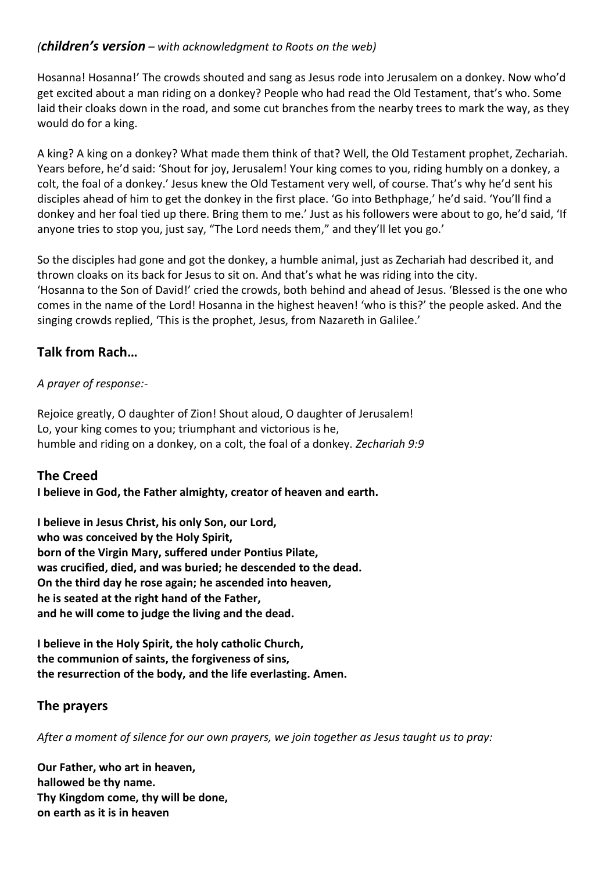### *(children's version – with acknowledgment to Roots on the web)*

Hosanna! Hosanna!' The crowds shouted and sang as Jesus rode into Jerusalem on a donkey. Now who'd get excited about a man riding on a donkey? People who had read the Old Testament, that's who. Some laid their cloaks down in the road, and some cut branches from the nearby trees to mark the way, as they would do for a king.

A king? A king on a donkey? What made them think of that? Well, the Old Testament prophet, Zechariah. Years before, he'd said: 'Shout for joy, Jerusalem! Your king comes to you, riding humbly on a donkey, a colt, the foal of a donkey.' Jesus knew the Old Testament very well, of course. That's why he'd sent his disciples ahead of him to get the donkey in the first place. 'Go into Bethphage,' he'd said. 'You'll find a donkey and her foal tied up there. Bring them to me.' Just as his followers were about to go, he'd said, 'If anyone tries to stop you, just say, "The Lord needs them," and they'll let you go.'

So the disciples had gone and got the donkey, a humble animal, just as Zechariah had described it, and thrown cloaks on its back for Jesus to sit on. And that's what he was riding into the city. 'Hosanna to the Son of David!' cried the crowds, both behind and ahead of Jesus. 'Blessed is the one who comes in the name of the Lord! Hosanna in the highest heaven! 'who is this?' the people asked. And the singing crowds replied, 'This is the prophet, Jesus, from Nazareth in Galilee.'

## **Talk from Rach…**

#### *A prayer of response:-*

Rejoice greatly, O daughter of Zion! Shout aloud, O daughter of Jerusalem! Lo, your king comes to you; triumphant and victorious is he, humble and riding on a donkey, on a colt, the foal of a donkey. *Zechariah 9:9*

## **The Creed**

#### **I believe in God, the Father almighty, creator of heaven and earth.**

**I believe in Jesus Christ, his only Son, our Lord, who was conceived by the Holy Spirit, born of the Virgin Mary, suffered under Pontius Pilate, was crucified, died, and was buried; he descended to the dead. On the third day he rose again; he ascended into heaven, he is seated at the right hand of the Father, and he will come to judge the living and the dead.**

**I believe in the Holy Spirit, the holy catholic Church, the communion of saints, the forgiveness of sins, the resurrection of the body, and the life everlasting. Amen.**

## **The prayers**

*After a moment of silence for our own prayers, we join together as Jesus taught us to pray:*

**Our Father, who art in heaven, hallowed be thy name. Thy Kingdom come, thy will be done, on earth as it is in heaven**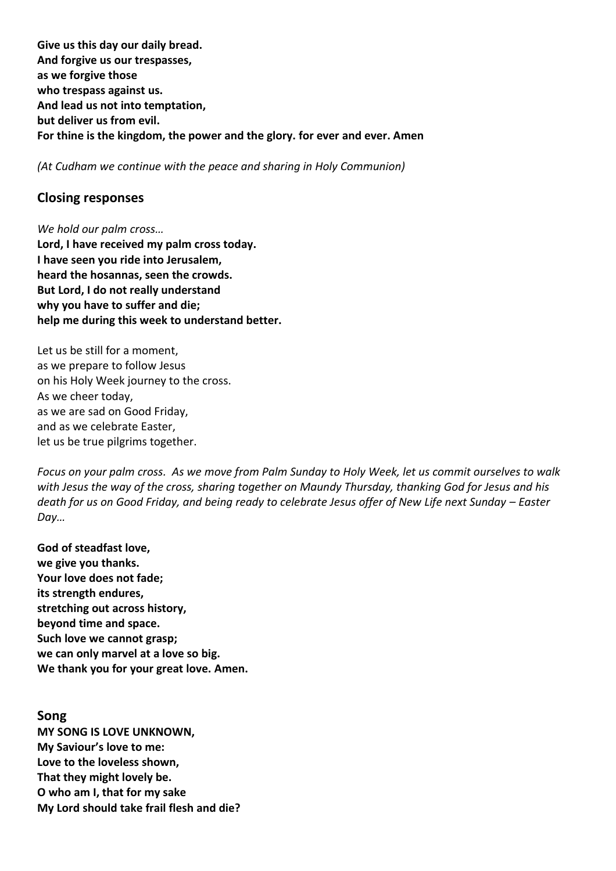**Give us this day our daily bread. And forgive us our trespasses, as we forgive those who trespass against us. And lead us not into temptation, but deliver us from evil. For thine is the kingdom, the power and the glory. for ever and ever. Amen**

*(At Cudham we continue with the peace and sharing in Holy Communion)*

#### **Closing responses**

*We hold our palm cross…* **Lord, I have received my palm cross today. I have seen you ride into Jerusalem, heard the hosannas, seen the crowds. But Lord, I do not really understand why you have to suffer and die; help me during this week to understand better.**

Let us be still for a moment, as we prepare to follow Jesus on his Holy Week journey to the cross. As we cheer today, as we are sad on Good Friday, and as we celebrate Easter, let us be true pilgrims together.

*Focus on your palm cross. As we move from Palm Sunday to Holy Week, let us commit ourselves to walk with Jesus the way of the cross, sharing together on Maundy Thursday, thanking God for Jesus and his death for us on Good Friday, and being ready to celebrate Jesus offer of New Life next Sunday – Easter Day…*

**God of steadfast love, we give you thanks. Your love does not fade; its strength endures, stretching out across history, beyond time and space. Such love we cannot grasp; we can only marvel at a love so big. We thank you for your great love. Amen.**

**Song MY SONG IS LOVE UNKNOWN, My Saviour's love to me: Love to the loveless shown, That they might lovely be. O who am I, that for my sake My Lord should take frail flesh and die?**